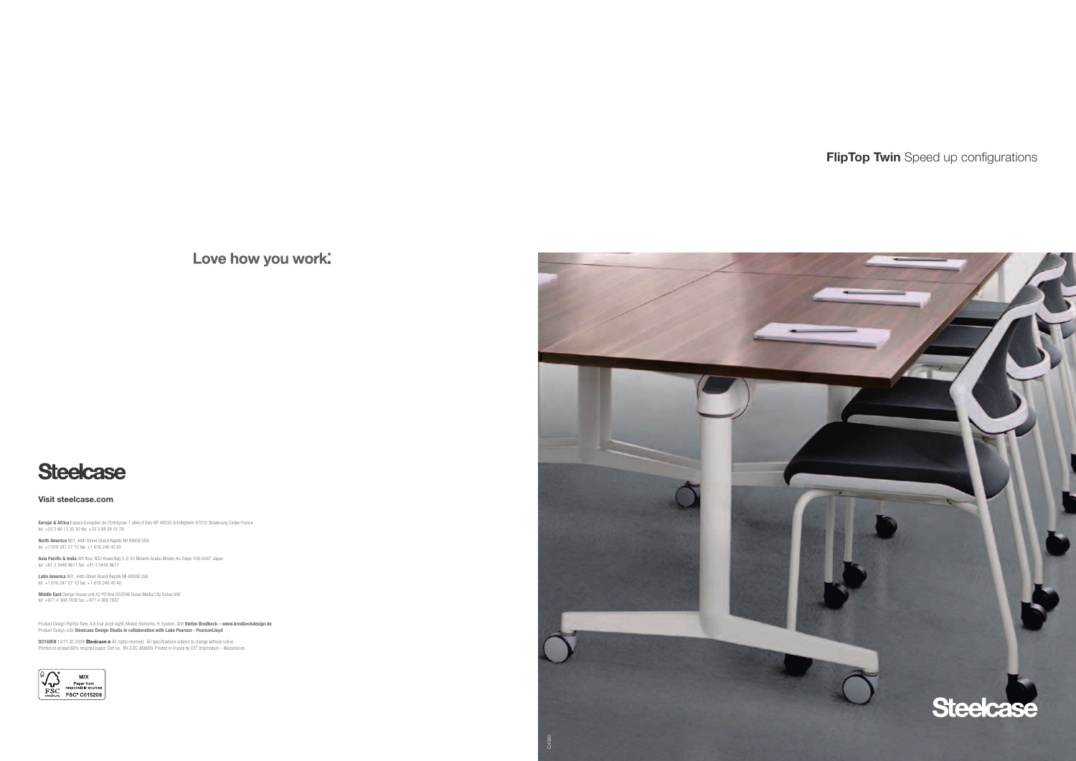

# **FlipTop Twin** Speed up configurations

Love how you work.



**Visit steelcase.com**

**Europe & Africa** Espace Européen de l'Entreprise 1 allée d'Oslo BP 40033 Schiltigheim 67012 Strasbourg Cedex France tel: +33 3 88 13 30 30 fax: +33 3 88 28 31 78

**North America** 901, 44th Street Grand Rapids MI 49508 USA tel: +1 616 247 27 10 fax: +1 616 246 40 40

**Asia Pacific & India** 4th floor, N32 Kowa Bdg 5-2-32 Minami-Azabu Minato-Ku Tokyo 106-0047 Japan tel: +81 3 3448 9611 fax: +81 3 3448 9617

**Latin America** 901, 44th Street Grand Rapids MI 49508 USA<br>tel: +1 616 247 27 10 fax: +1 616 246 40 40

**Middle East** Design House unit A2 PO Box 502596 Dubai Media City Dubai UAE tel: +971 4 369 7838 fax: +971 4 369 7837

Product Design FlipTop Twin, 4.8 four point eight, Mobile Elements, H. System, QīVi **Stefan Brodbeck – www.brodbeckdesign.de**<br>Product Design cobi **Steelcase Design Studio in collaboration with Luke Pearson - PearsonLloyd** 

**DC150EN** 12/11 © 2009 **Steelcase** ® All rights reserved. All specifications subject to change without notice.<br>Printed on at least 60% recycled paper. Cert no. BV-COC-858659. Printed in France by OTT Imprimeurs – Wasselonn

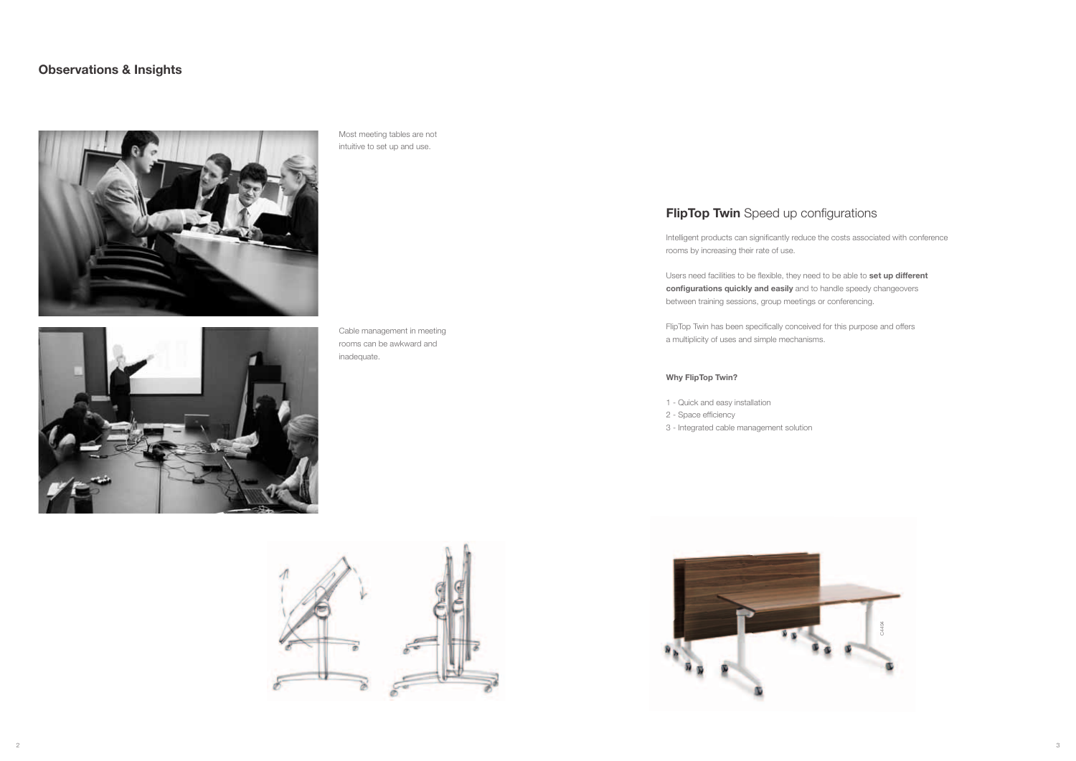

Intelligent products can significantly reduce the costs associated with conference rooms by increasing their rate of use.

Users need facilities to be flexible, they need to be able to **set up different configurations quickly and easily** and to handle speedy changeovers between training sessions, group meetings or conferencing.

FlipTop Twin has been specifically conceived for this purpose and offers a multiplicity of uses and simple mechanisms.

### **Why FlipTop Twin?**

- 1 Quick and easy installation
- 2 Space efficiency
- 3 Integrated cable management solution

## **Observations & Insights**



Most meeting tables are not intuitive to set up and use.



Cable management in meeting rooms can be awkward and inadequate.



## **FlipTop Twin** Speed up configurations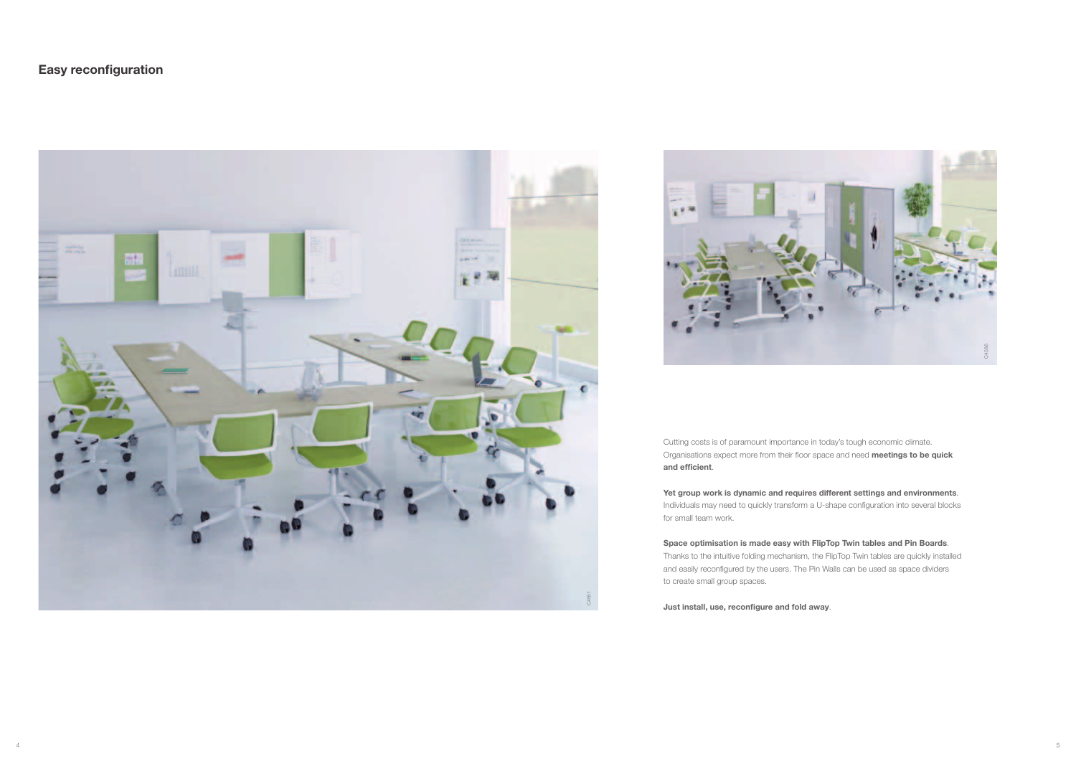



Cutting costs is of paramount importance in today's tough economic climate. Organisations expect more from their floor space and need **meetings to be quick and efficient**.

**Yet group work is dynamic and requires different settings and environments**. Individuals may need to quickly transform a U-shape configuration into several blocks for small team work.

**Space optimisation is made easy with FlipTop Twin tables and Pin Boards**. Thanks to the intuitive folding mechanism, the FlipTop Twin tables are quickly installed and easily reconfigured by the users. The Pin Walls can be used as space dividers to create small group spaces.

**Just install, use, reconfigure and fold away**.

## **Easy reconfiguration**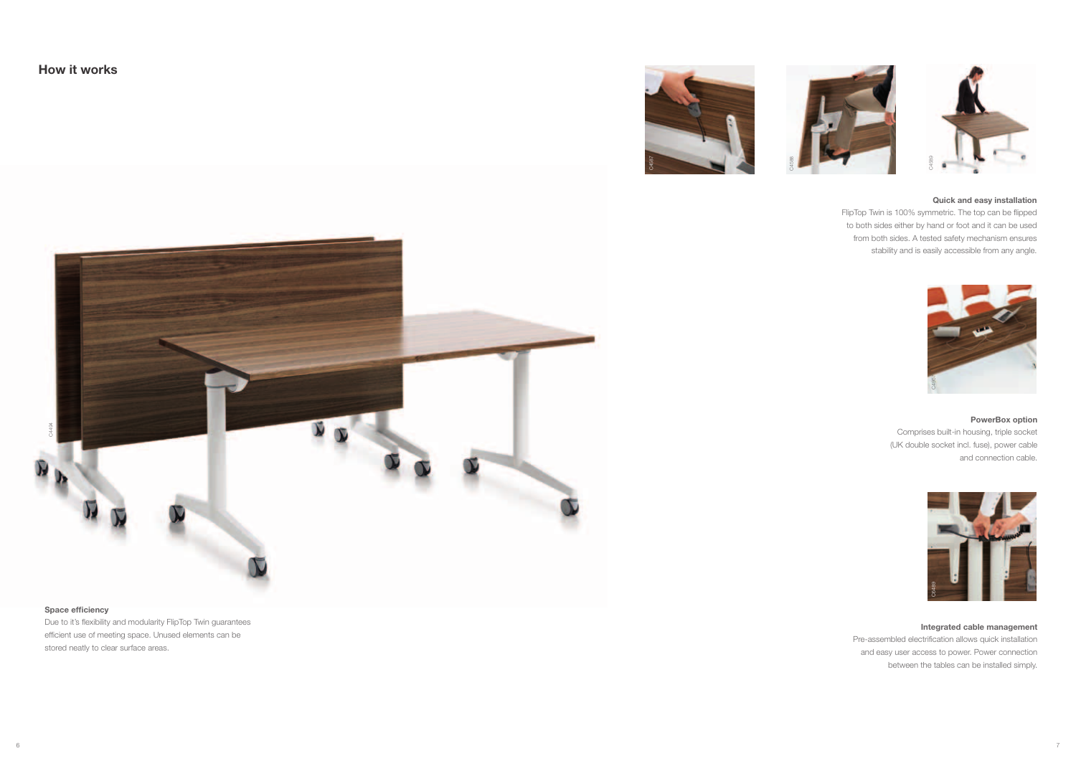

#### **Space efficiency**

Due to it's flexibility and modularity FlipTop Twin guarantees efficient use of meeting space. Unused elements can be stored neatly to clear surface areas.





#### **Integrated cable management**

Pre-assembled electrification allows quick installation and easy user access to power. Power connection between the tables can be installed simply.

#### **PowerBox option**

Comprises built-in housing, triple socket (UK double socket incl. fuse), power cable and connection cable.



#### **Quick and easy installation**

FlipTop Twin is 100% symmetric. The top can be flipped to both sides either by hand or foot and it can be used from both sides. A tested safety mechanism ensures stability and is easily accessible from any angle.



**How it works**



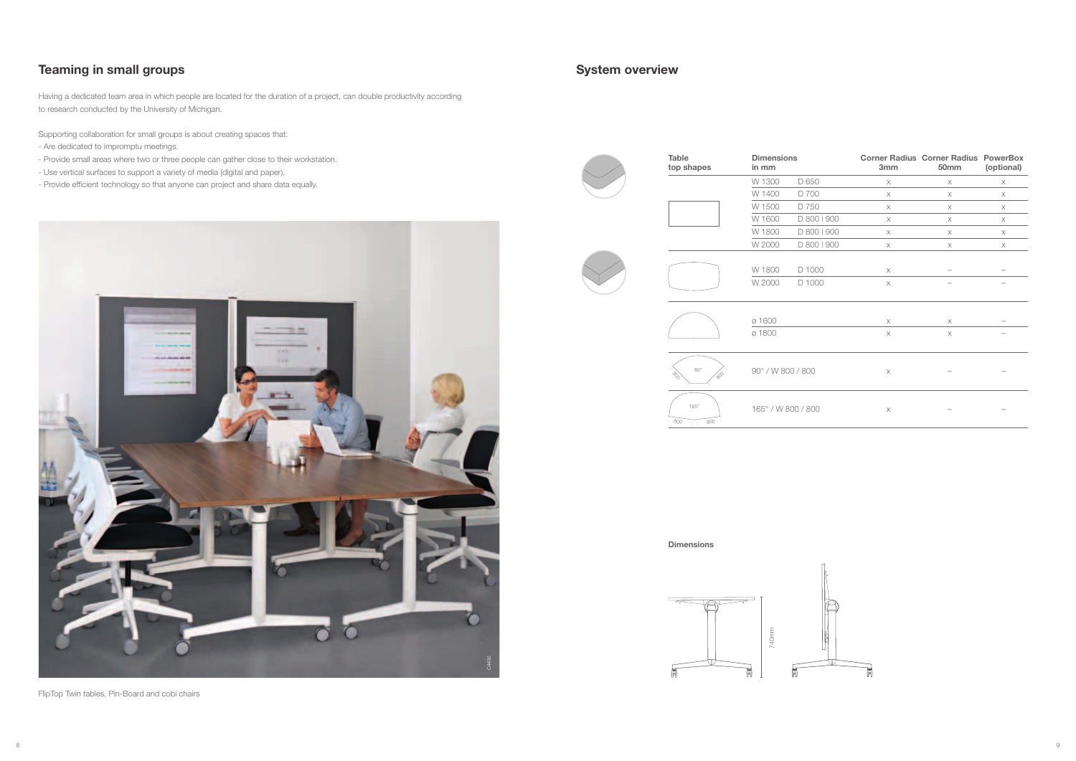

## **System overview**

**Table top shapes** **Dimensions in mm**



| <b>Dimensions</b><br>in mm |             | 3mm      | <b>Corner Radius Corner Radius PowerBox</b><br>50mm | (optional) |
|----------------------------|-------------|----------|-----------------------------------------------------|------------|
| W 1300                     | D 650       | X        | $\times$                                            | X          |
| W 1400                     | D 700       | $\times$ | X                                                   | $\times$   |
| W 1500                     | D 750       | $\times$ | X                                                   | X          |
| W 1600                     | D 800   900 | $\times$ | $\times$                                            | $\times$   |
| W 1800                     | D 800   900 | X        | X                                                   | X          |
| W 2000                     | D 800   900 | $\times$ | $\times$                                            | $\times$   |
| W 1800                     | D 1000      | X        |                                                     |            |
| W 2000                     | D 1000      | $\times$ |                                                     |            |
| ø 1600                     |             | X        | X                                                   |            |
| ø 1800                     |             | X        | X                                                   |            |
| 90° / W 800 / 800          |             | $\times$ |                                                     |            |
| 165° / W 800 / 800         |             | X        |                                                     |            |



**Dimensions**



## **Teaming in small groups**

Having a dedicated team area in which people are located for the duration of a project, can double productivity according to research conducted by the University of Michigan.

Supporting collaboration for small groups is about creating spaces that:

- Are dedicated to impromptu meetings.
- Provide small areas where two or three people can gather close to their workstation.
- Use vertical surfaces to support a variety of media (digital and paper).
- Provide efficient technology so that anyone can project and share data equally.

FlipTop Twin tables, Pin-Board and cobi chairs